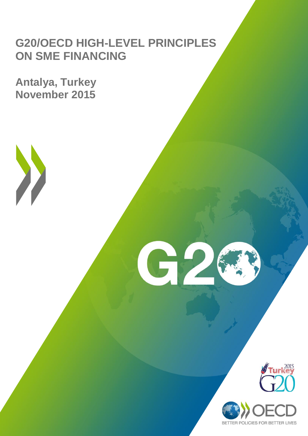# **G20/OECD HIGH-LEVEL PRINCIPLES ON SME FINANCING**

G2

**Antalya, Turkey November 2015**



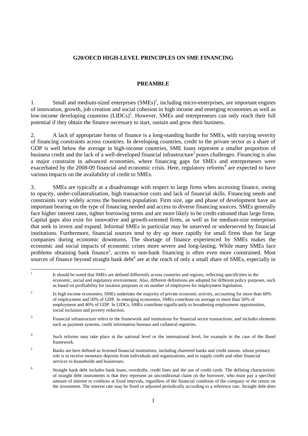#### **G20/OECD HIGH-LEVEL PRINCIPLES ON SME FINANCING**

#### **PREAMBLE**

1. Small and medium-sized enterprises  $(SMEs)^1$ , including micro-enterprises, are important engines of innovation, growth, job creation and social cohesion in high income and emerging economies as well as low-income developing countries (LIDCs)<sup>2</sup>. However, SMEs and entrepreneurs can only reach their full potential if they obtain the finance necessary to start, sustain and grow their business.

2. A lack of appropriate forms of finance is a long-standing hurdle for SMEs, with varying severity of financing constraints across countries. In developing countries, credit to the private sector as a share of GDP is well below the average in high-income countries, SME loans represent a smaller proportion of business credit and the lack of a well-developed financial infrastructure<sup>3</sup> poses challenges. Financing is also a major constraint in advanced economies, where financing gaps for SMEs and entrepreneurs were exacerbated by the 2008-09 financial and economic crisis. Here, regulatory reforms<sup>4</sup> are expected to have various impacts on the availability of credit to SMEs.

3. SMEs are typically at a disadvantage with respect to large firms when accessing finance, owing to opacity, under-collateralisation, high transaction costs and lack of financial skills. Financing needs and constraints vary widely across the business population. Firm size, age and phase of development have an important bearing on the type of financing needed and access to diverse financing sources. SMEs generally face higher interest rates, tighter borrowing terms and are more likely to be credit-rationed than large firms. Capital gaps also exist for innovative and growth-oriented firms, as well as for medium-size enterprises that seek to invest and expand. Informal SMEs in particular may be unserved or underserved by financial institutions. Furthermore, financial sources tend to dry up more rapidly for small firms than for large companies during economic downturns. The shortage of finance experienced by SMEs makes the economic and social impacts of economic crises more severe and long-lasting. While many SMEs face problems obtaining bank finance<sup>5</sup>, access to non-bank financing is often even more constrained. Most sources of finance beyond straight bank debt $<sup>6</sup>$  are at the reach of only a small share of SMEs, especially in</sup>

<sup>|&</sup>lt;br>|<br>| It should be noted that SMEs are defined differently across countries and regions, reflecting specificities in the economic, social and regulatory environment. Also, different definitions are adopted for different policy purposes, such as based on profitability for taxation purposes or on number of employees for employment legislation.

<sup>2</sup> In high income economies, SMEs undertake the majority of private economic activity, accounting for more than 60% of employment and 50% of GDP. In emerging economies, SMEs contribute on average to more than 50% of employment and 40% of GDP. In LIDCs, SMEs contribute significantly to broadening employment opportunities, social inclusion and poverty reduction.

<sup>3</sup> Financial infrastructure refers to the framework and institutions for financial sector transactions, and includes elements such as payment systems, credit information bureaus and collateral registries.

<sup>4</sup> Such reforms may take place at the national level or the international level, for example in the case of the Basel framework.

<sup>&</sup>lt;sup>5</sup> Banks are here defined as licensed financial institutions, including chartered banks and credit unions. whose primary role is to receive monetary deposits from individuals and organizations, and to supply credit and other financial services to households and businesses.

<sup>6</sup> Straight bank debt includes bank loans, overdrafts, credit lines and the use of credit cards. The defining characteristic of straight debt instruments is that they represent an unconditional claim on the borrower, who must pay a specified amount of interest to creditors at fixed intervals, regardless of the financial condition of the company or the return on the investment. The interest rate may be fixed or adjusted periodically according to a reference rate. Straight debt does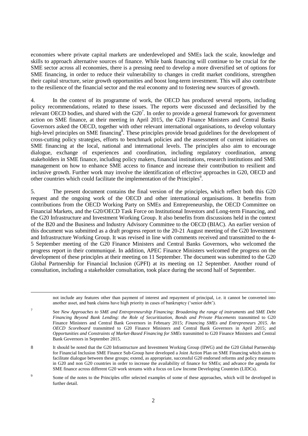economies where private capital markets are underdeveloped and SMEs lack the scale, knowledge and skills to approach alternative sources of finance. While bank financing will continue to be crucial for the SME sector across all economies, there is a pressing need to develop a more diversified set of options for SME financing, in order to reduce their vulnerability to changes in credit market conditions, strengthen their capital structure, seize growth opportunities and boost long-term investment. This will also contribute to the resilience of the financial sector and the real economy and to fostering new sources of growth.

4. In the context of its programme of work, the OECD has produced several reports, including policy recommendations, related to these issues. The reports were discussed and declassified by the relevant OECD bodies, and shared with the  $G20<sup>7</sup>$ . In order to provide a general framework for government action on SME finance, at their meeting in April 2015, the G20 Finance Ministers and Central Banks Governors asked the OECD, together with other relevant international organisations, to develop voluntary high-level principles on SME financing<sup>8</sup>. These principles provide broad guidelines for the development of cross-cutting policy strategies, efforts to benchmark policies and the assessment of current initiatives on SME financing at the local, national and international levels. The principles also aim to encourage dialogue, exchange of experiences and coordination, including regulatory coordination, among stakeholders in SME finance, including policy makers, financial institutions, research institutions and SME management on how to enhance SME access to finance and increase their contribution to resilient and inclusive growth. Further work may involve the identification of effective approaches in G20, OECD and other countries which could facilitate the implementation of the Principles<sup>9</sup>.

5. The present document contains the final version of the principles, which reflect both this G20 request and the ongoing work of the OECD and other international organisations. It benefits from contributions from the OECD Working Party on SMEs and Entrepreneurship, the OECD Committee on Financial Markets, and the G20/OECD Task Force on Institutional Investors and Long-term Financing, and the G20 Infrastructure and Investment Working Group. It also benefits from discussions held in the context of the B20 and the Business and Industry Advisory Committee to the OECD (BIAC). An earlier version of this document was submitted as a draft progress report to the 20-21 August meeting of the G20 Investment and Infrastructure Working Group. It was revised in line with comments received and transmitted to the 4- 5 September meeting of the G20 Finance Ministers and Central Banks Governors, who welcomed the progress report in their communiqué. In addition, APEC Finance Ministers welcomed the progress on the development of these principles at their meeting on 11 September. The document was submitted to the G20 Global Partnership for Financial Inclusion (GPFI) at its meeting on 12 September. Another round of consultation, including a stakeholder consultation, took place during the second half of September.

not include any features other than payment of interest and repayment of principal, i.e. it cannot be converted into another asset, and bank claims have high priority in cases of bankruptcy ('senior debt').

See *New Approaches to SME and Entrepreneurship Financing: Broadening the range of instruments* and *SME Debt Financing Beyond Bank Lending: the Role of Securitization, Bonds and Private Placements* transmitted to G20 Finance Ministers and Central Bank Governors in February 2015; *Financing SMEs and Entrepreneurs 2015. An OECD Scoreboard* transmitted to G20 Finance Ministers and Central Bank Governors in April 2015; and *Opportunities and Constraints of Market-Based Financing for SMEs* transmitted to G20 Finance Ministers and Central Bank Governors in September 2015.

7

8 It should be noted that the G20 Infrastructure and Investment Working Group (IIWG) and the G20 Global Partnership for Financial Inclusion SME Finance Sub-Group have developed a Joint Action Plan on SME Financing which aims to facilitate dialogue between these groups; extend, as appropriate, successful G20 endorsed reforms and policy measures in G20 and non G20 countries in order to increase the availability of finance for SMEs; and advance the agenda for SME finance across different G20 work streams with a focus on Low Income Developing Countries (LIDCs).

<sup>9</sup> Some of the notes to the Principles offer selected examples of some of these approaches, which will be developed in further detail.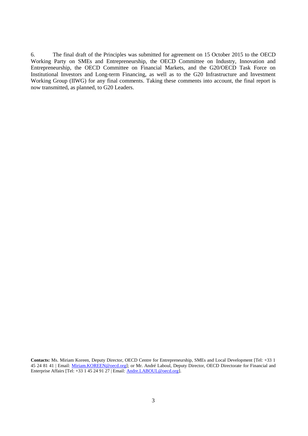6. The final draft of the Principles was submitted for agreement on 15 October 2015 to the OECD Working Party on SMEs and Entrepreneurship, the OECD Committee on Industry, Innovation and Entrepreneurship, the OECD Committee on Financial Markets, and the G20/OECD Task Force on Institutional Investors and Long-term Financing, as well as to the G20 Infrastructure and Investment Working Group (IIWG) for any final comments. Taking these comments into account, the final report is now transmitted, as planned, to G20 Leaders.

**Contacts:** Ms. Miriam Koreen, Deputy Director, OECD Centre for Entrepreneurship, SMEs and Local Development [Tel: +33 1 45 24 81 41 | Email: [Miriam.KOREEN@oecd.org\]](mailto:Miriam.KOREEN@oecd.org); or Mr. André Laboul, Deputy Director, OECD Directorate for Financial and Enterprise Affairs [Tel: +33 1 45 24 91 27 | Email[: Andre.LABOUL@oecd.org\]](mailto:Andre.LABOUL@oecd.org).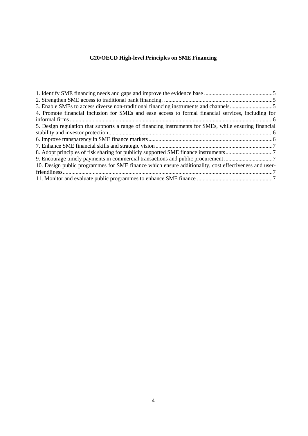# **G20/OECD High-level Principles on SME Financing**

| 4. Promote financial inclusion for SMEs and ease access to formal financial services, including for    |  |
|--------------------------------------------------------------------------------------------------------|--|
|                                                                                                        |  |
| 5. Design regulation that supports a range of financing instruments for SMEs, while ensuring financial |  |
|                                                                                                        |  |
|                                                                                                        |  |
|                                                                                                        |  |
| 8. Adopt principles of risk sharing for publicly supported SME finance instruments7                    |  |
|                                                                                                        |  |
| 10. Design public programmes for SME finance which ensure additionality, cost effectiveness and user-  |  |
|                                                                                                        |  |
|                                                                                                        |  |
|                                                                                                        |  |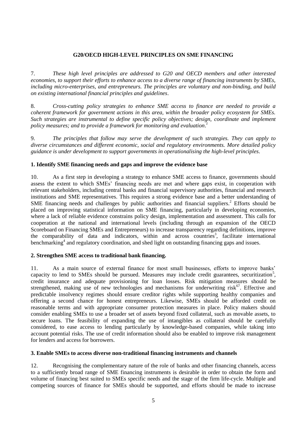# **G20/OECD HIGH-LEVEL PRINCIPLES ON SME FINANCING**

7. *These high level principles are addressed to G20 and OECD members and other interested economies, to support their efforts to enhance access to a diverse range of financing instruments by SMEs, including micro-enterprises, and entrepreneurs. The principles are voluntary and non-binding, and build on existing international financial principles and guidelines*.

8. *Cross-cutting policy strategies to enhance SME access to finance are needed to provide a coherent framework for government actions in this area, within the broader policy ecosystem for SMEs. Such strategies are instrumental to define specific policy objectives; design, coordinate and implement policy measures; and to provide a framework for monitoring and evaluation*. *1*

9. *The principles that follow may serve the development of such strategies. They can apply to diverse circumstances and different economic, social and regulatory environments. More detailed policy guidance is under development to support governments in operationalising the high-level principles*.

# <span id="page-5-0"></span>**1. Identify SME financing needs and gaps and improve the evidence base**

10. As a first step in developing a strategy to enhance SME access to finance, governments should assess the extent to which SMEs' financing needs are met and where gaps exist, in cooperation with relevant stakeholders, including central banks and financial supervisory authorities, financial and research institutions and SME representatives. This requires a strong evidence base and a better understanding of SME financing needs and challenges by public authorities and financial suppliers.<sup>2</sup> Efforts should be placed on improving statistical information on SME financing, particularly in developing economies, where a lack of reliable evidence constrains policy design, implementation and assessment. This calls for cooperation at the national and international levels (including through an expansion of the OECD Scoreboard on Financing SMEs and Entrepreneurs) to increase transparency regarding definitions, improve the comparability of data and indicators, within and across countries<sup>3</sup>, facilitate international benchmarking<sup>4</sup> and regulatory coordination, and shed light on outstanding financing gaps and issues.

# <span id="page-5-1"></span>**2. Strengthen SME access to traditional bank financing.**

11. As a main source of external finance for most small businesses, efforts to improve banks' capacity to lend to SMEs should be pursued. Measures may include credit guarantees, securitization<sup>5</sup>, credit insurance and adequate provisioning for loan losses. Risk mitigation measures should be strengthened, making use of new technologies and mechanisms for underwriting risk<sup>67</sup>. Effective and predictable insolvency regimes should ensure creditor rights while supporting healthy companies and offering a second chance for honest entrepreneurs. Likewise, SMEs should be afforded credit on reasonable terms and with appropriate consumer protection measures in place. Policy makers should consider enabling SMEs to use a broader set of assets beyond fixed collateral, such as movable assets, to secure loans. The feasibility of expanding the use of intangibles as collateral should be carefully considered, to ease access to lending particularly by knowledge-based companies, while taking into account potential risks. The use of credit information should also be enabled to improve risk management for lenders and access for borrowers.

#### <span id="page-5-2"></span>**3. Enable SMEs to access diverse non-traditional financing instruments and channels**

12. Recognising the complementary nature of the role of banks and other financing channels, access to a sufficiently broad range of SME financing instruments is desirable in order to obtain the form and volume of financing best suited to SMEs specific needs and the stage of the firm life-cycle. Multiple and competing sources of finance for SMEs should be supported, and efforts should be made to increase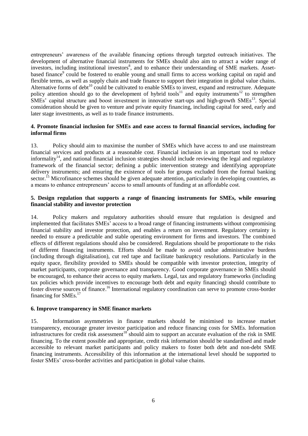entrepreneurs' awareness of the available financing options through targeted outreach initiatives. The development of alternative financial instruments for SMEs should also aim to attract a wider range of investors, including institutional investors<sup>8</sup>, and to enhance their understanding of SME markets. Assetbased finance<sup>9</sup> could be fostered to enable young and small firms to access working capital on rapid and flexible terms, as well as supply chain and trade finance to support their integration in global value chains. Alternative forms of debt<sup>10</sup> could be cultivated to enable SMEs to invest, expand and restructure. Adequate policy attention should go to the development of hybrid tools<sup>11</sup> and equity instruments<sup>12</sup> to strengthen SMEs' capital structure and boost investment in innovative start-ups and high-growth SMEs<sup>13</sup>. Special consideration should be given to venture and private equity financing, including capital for seed, early and later stage investments, as well as to trade finance instruments.

#### <span id="page-6-0"></span>**4. Promote financial inclusion for SMEs and ease access to formal financial services, including for informal firms**

13. Policy should aim to maximise the number of SMEs which have access to and use mainstream financial services and products at a reasonable cost. Financial inclusion is an important tool to reduce informality<sup>14</sup>, and national financial inclusion strategies should include reviewing the legal and regulatory framework of the financial sector; defining a public intervention strategy and identifying appropriate delivery instruments; and ensuring the existence of tools for groups excluded from the formal banking sector.<sup>15</sup> Microfinance schemes should be given adequate attention, particularly in developing countries, as a means to enhance entrepreneurs' access to small amounts of funding at an affordable cost.

# <span id="page-6-1"></span>**5. Design regulation that supports a range of financing instruments for SMEs, while ensuring financial stability and investor protection**

14. Policy makers and regulatory authorities should ensure that regulation is designed and implemented that facilitates SMEs' access to a broad range of financing instruments without compromising financial stability and investor protection, and enables a return on investment. Regulatory certainty is needed to ensure a predictable and stable operating environment for firms and investors. The combined effects of different regulations should also be considered. Regulations should be proportionate to the risks of different financing instruments. Efforts should be made to avoid undue administrative burdens (including through digitalisation), cut red tape and facilitate bankruptcy resolutions. Particularly in the equity space, flexibility provided to SMEs should be compatible with investor protection, integrity of market participants, corporate governance and transparency. Good corporate governance in SMEs should be encouraged, to enhance their access to equity markets. Legal, tax and regulatory frameworks (including tax policies which provide incentives to encourage both debt and equity financing) should contribute to foster diverse sources of finance.<sup>16</sup> International regulatory coordination can serve to promote cross-border financing for SMEs.<sup>17</sup>

#### <span id="page-6-2"></span>**6. Improve transparency in SME finance markets**

15. Information asymmetries in finance markets should be minimised to increase market transparency, encourage greater investor participation and reduce financing costs for SMEs. Information infrastructures for credit risk assessment<sup>18</sup> should aim to support an accurate evaluation of the risk in SME financing. To the extent possible and appropriate, credit risk information should be standardised and made accessible to relevant market participants and policy makers to foster both debt and non-debt SME financing instruments. Accessibility of this information at the international level should be supported to foster SMEs' cross-border activities and participation in global value chains.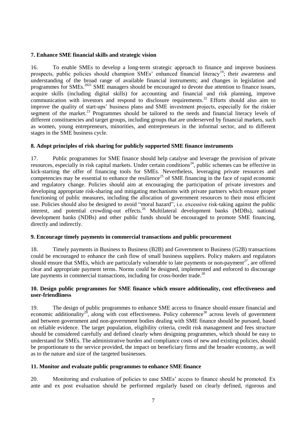#### <span id="page-7-0"></span>**7. Enhance SME financial skills and strategic vision**

16. To enable SMEs to develop a long-term strategic approach to finance and improve business prospects, public policies should champion SMEs' enhanced financial literacy<sup>19</sup>; their awareness and understanding of the broad range of available financial instruments; and changes in legislation and programmes for SMEs.<sup>2021</sup> SME managers should be encouraged to devote due attention to finance issues, acquire skills (including digital skills) for accounting and financial and risk planning, improve communication with investors and respond to disclosure requirements.<sup>22</sup> Efforts should also aim to improve the quality of start-ups' business plans and SME investment projects, especially for the riskier segment of the market.<sup>23</sup> Programmes should be tailored to the needs and financial literacy levels of different constituencies and target groups, including groups that are underserved by financial markets, such as women, young entrepreneurs, minorities, and entrepreneurs in the informal sector, and to different stages in the SME business cycle.

#### <span id="page-7-1"></span>**8. Adopt principles of risk sharing for publicly supported SME finance instruments**

17. Public programmes for SME finance should help catalyse and leverage the provision of private resources, especially in risk capital markets. Under certain conditions<sup>24</sup>, public schemes can be effective in kick-starting the offer of financing tools for SMEs. Nevertheless, leveraging private resources and competencies may be essential to enhance the resilience<sup>25</sup> of SME financing in the face of rapid economic and regulatory change. Policies should aim at encouraging the participation of private investors and developing appropriate risk-sharing and mitigating mechanisms with private partners which ensure proper functioning of public measures, including the allocation of government resources to their most efficient use. Policies should also be designed to avoid "moral hazard", i.e. excessive risk-taking against the public interest, and potential crowding-out effects. <sup>26</sup> Multilateral development banks (MDBs), national development banks (NDBs) and other public funds should be encouraged to promote SME financing, directly and indirectly.

# <span id="page-7-2"></span>**9. Encourage timely payments in commercial transactions and public procurement**

18. Timely payments in Business to Business (B2B) and Government to Business (G2B) transactions could be encouraged to enhance the cash flow of small business suppliers. Policy makers and regulators should ensure that SMEs, which are particularly vulnerable to late payments or non-payment<sup>27</sup>, are offered clear and appropriate payment terms. Norms could be designed, implemented and enforced to discourage late payments in commercial transactions, including for cross-border trade.<sup>28</sup>

# <span id="page-7-3"></span>**10. Design public programmes for SME finance which ensure additionality, cost effectiveness and user-friendliness**

19. The design of public programmes to enhance SME access to finance should ensure financial and economic additionality<sup>29</sup>, along with cost effectiveness. Policy coherence<sup>30</sup> across levels of government and between government and non-government bodies dealing with SME finance should be pursued, based on reliable evidence. The target population, eligibility criteria, credit risk management and fees structure should be considered carefully and defined clearly when designing programmes, which should be easy to understand for SMEs. The administrative burden and compliance costs of new and existing policies, should be proportionate to the service provided, the impact on beneficiary firms and the broader economy, as well as to the nature and size of the targeted businesses.

#### <span id="page-7-4"></span>**11. Monitor and evaluate public programmes to enhance SME finance**

20. Monitoring and evaluation of policies to ease SMEs' access to finance should be promoted. Ex ante and ex post evaluation should be performed regularly based on clearly defined, rigorous and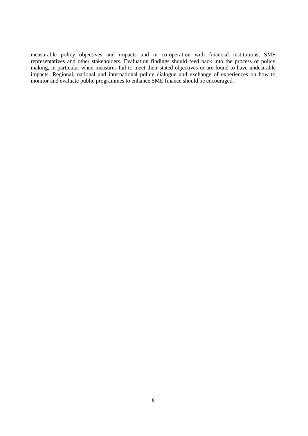measurable policy objectives and impacts and in co-operation with financial institutions, SME representatives and other stakeholders. Evaluation findings should feed back into the process of policy making, in particular when measures fail to meet their stated objectives or are found to have undesirable impacts. Regional, national and international policy dialogue and exchange of experiences on how to monitor and evaluate public programmes to enhance SME finance should be encouraged.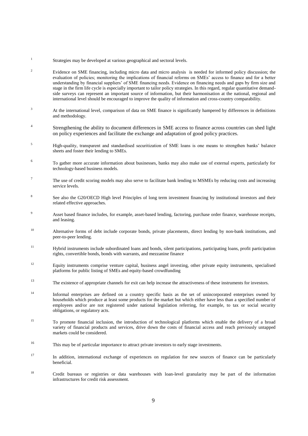- 1 Strategies may be developed at various geographical and sectoral levels.
- <sup>2</sup> Evidence on SME financing, including micro data and micro analysis is needed for informed policy discussion; the evaluation of policies; monitoring the implications of financial reforms on SMEs' access to finance and for a better understanding by financial suppliers' of SME financing needs. Evidence on financing needs and gaps by firm size and stage in the firm life cycle is especially important to tailor policy strategies. In this regard, regular quantitative demandside surveys can represent an important source of information, but their harmonisation at the national, regional and international level should be encouraged to improve the quality of information and cross-country comparability.
- <sup>3</sup> At the international level, comparison of data on SME finance is significantly hampered by differences in definitions and methodology.
- 4 Strengthening the ability to document differences in SME access to finance across countries can shed light on policy experiences and facilitate the exchange and adaptation of good policy practices.
- <sup>5</sup><br>High-quality, transparent and standardised securitization of SME loans is one means to strengthen banks' balance sheets and foster their lending to SMEs.
- 6 To gather more accurate information about businesses, banks may also make use of external experts, particularly for technology-based business models.
- 7 The use of credit scoring models may also serve to facilitate bank lending to MSMEs by reducing costs and increasing service levels.
- 8 See also the G20/OECD High level Principles of long term investment financing by institutional investors and their related effective approaches.
- <sup>9</sup> Asset based finance includes, for example, asset-based lending, factoring, purchase order finance, warehouse receipts, and leasing.
- <sup>10</sup> Alternative forms of debt include corporate bonds, private placements, direct lending by non-bank institutions, and peer-to-peer lending.
- <sup>11</sup> Hybrid instruments include subordinated loans and bonds, silent participations, participating loans, profit participation rights, convertible bonds, bonds with warrants, and mezzanine finance
- <sup>12</sup> Equity instruments comprise venture capital, business angel investing, other private equity instruments, specialised platforms for public listing of SMEs and equity-based crowdfunding
- <sup>13</sup> The existence of appropriate channels for exit can help increase the attractiveness of these instruments for investors.
- <sup>14</sup> Informal enterprises are defined on a country specific basis as the set of unincorporated enterprises owned by households which produce at least some products for the market but which either have less than a specified number of employees and/or are not registered under national legislation referring, for example, to tax or social security obligations, or regulatory acts.
- <sup>15</sup> To promote financial inclusion, the introduction of technological platforms which enable the delivery of a broad variety of financial products and services, drive down the costs of financial access and reach previously untapped markets could be considered.
- <sup>16</sup> This may be of particular importance to attract private investors to early stage investments.
- <sup>17</sup> In addition, international exchange of experiences on regulation for new sources of finance can be particularly beneficial.
- <sup>18</sup> Credit bureaus or registries or data warehouses with loan-level granularity may be part of the information infrastructures for credit risk assessment.